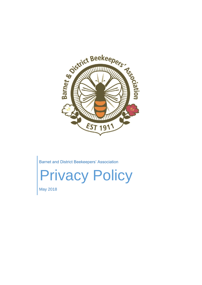

Barnet and District Beekeepers' Association

Privacy Policy

May 2018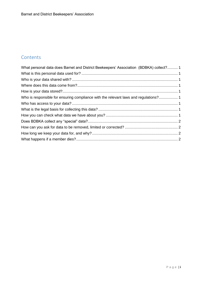# **Contents**

| What personal data does Barnet and District Beekeepers' Association (BDBKA) collect? 1 |  |
|----------------------------------------------------------------------------------------|--|
|                                                                                        |  |
|                                                                                        |  |
|                                                                                        |  |
|                                                                                        |  |
| Who is responsible for ensuring compliance with the relevant laws and regulations? 1   |  |
|                                                                                        |  |
|                                                                                        |  |
|                                                                                        |  |
|                                                                                        |  |
|                                                                                        |  |
|                                                                                        |  |
|                                                                                        |  |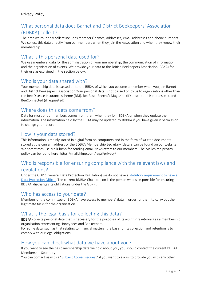# <span id="page-2-0"></span>What personal data does Barnet and District Beekeepers' Association (BDBKA) collect?

The data we routinely collect includes members' names, addresses, email addresses and phone numbers. We collect this data directly from our members when they join the Association and when they renew their membership.

## <span id="page-2-1"></span>What is this personal data used for?

We use members' data for the administration of your membership; the communication of information, and the organisation of events. We provide your data to the British Beekeepers Association (BBKA) for their use as explained in the section below.

### <span id="page-2-2"></span>Who is your data shared with?

Your membership data is passed on to the BBKA, of which you become a member when you join Barnet and District Beekeepers' Association Your personal data is not passed on by us to organisations other than the Bee Disease Insurance scheme (BDI). BeeBase, Beecraft Magazine (if subscription is requested), and BeeConnected (if requested)

## <span id="page-2-3"></span>Where does this data come from?

Data for most of our members comes from them when they join BDBKA or when they update their information. The information held by the BBKA may be updated by BDBKA if you have given it permission to change your record.

### <span id="page-2-4"></span>How is your data stored?

This information is mainly stored in digital form on computers and in the form of written documents stored at the current address of the BDBKA Membership Secretary (details can be found on our website).; We sometimes use MailChimp for sending email Newsletters to our members. The Mailchimp privacy policy can be found here https://mailchimp.com/legal/privacy/

# <span id="page-2-5"></span>Who is responsible for ensuring compliance with the relevant laws and

#### regulations?

Under the GDPR (General Data Protection Regulation) we do not have [a statutory requirement to have a](https://ico.org.uk/for-organisations/guide-to-the-general-data-protection-regulation-gdpr/accountability-and-governance/data-protection-officers/)  [Data Protection Officer.](https://ico.org.uk/for-organisations/guide-to-the-general-data-protection-regulation-gdpr/accountability-and-governance/data-protection-officers/) The current BDBKA Chair person is the person who is responsible for ensuring BDBKA discharges its obligations under the GDPR..

#### <span id="page-2-6"></span>Who has access to your data?

Members of the committee of BDBKA have access to members' data in order for them to carry out their legitimate tasks for the organisation.

## <span id="page-2-7"></span>What is the legal basis for collecting this data?

BDBKA collects personal data that is necessary for the purposes of its *legitimate interests* as a membership organisation representing Honeybees and Beekeepers.

For some data, such as that relating to financial matters, the basis for its collection and retention is to comply with our legal obligations.

### <span id="page-2-8"></span>How you can check what data we have about you?

If you want to see the basic membership data we hold about you, you should contact the current BDBKA Membership Secretary.

You can contact us with a "[Subject Access Request](https://ico.org.uk/for-the-public/personal-information/)" if you want to ask us to provide you with any other